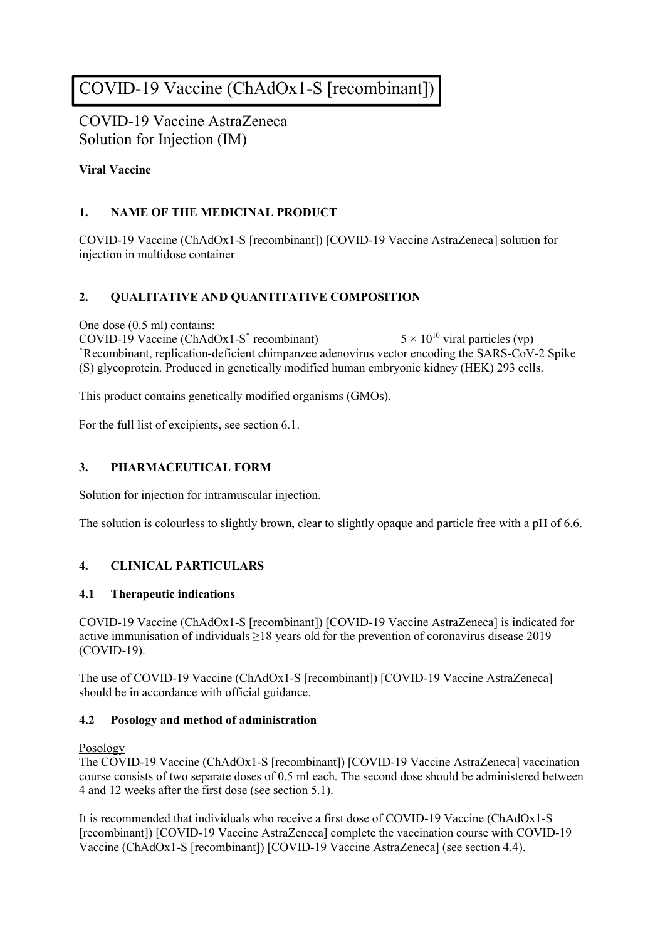# COVID-19 Vaccine (ChAdOx1-S [recombinant])

COVID-19 Vaccine AstraZeneca Solution for Injection (IM)

# **Viral Vaccine**

# **1. NAME OF THE MEDICINAL PRODUCT**

COVID-19 Vaccine (ChAdOx1-S [recombinant]) [COVID-19 Vaccine AstraZeneca] solution for injection in multidose container

# **2. QUALITATIVE AND QUANTITATIVE COMPOSITION**

One dose (0.5 ml) contains:

COVID-19 Vaccine (ChAdOx1-S \*  $5 \times 10^{10}$  viral particles (vp) \*Recombinant, replication-deficient chimpanzee adenovirus vector encoding the SARS-CoV-2 Spike (S) glycoprotein. Produced in genetically modified human embryonic kidney (HEK) 293 cells.

This product contains genetically modified organisms (GMOs).

For the full list of excipients, see section 6.1.

## **3. PHARMACEUTICAL FORM**

Solution for injection for intramuscular injection.

The solution is colourless to slightly brown, clear to slightly opaque and particle free with a pH of 6.6.

## **4. CLINICAL PARTICULARS**

## **4.1 Therapeutic indications**

COVID-19 Vaccine (ChAdOx1-S [recombinant]) [COVID-19 Vaccine AstraZeneca] is indicated for active immunisation of individuals ≥18 years old for the prevention of coronavirus disease 2019 (COVID-19).

The use of COVID-19 Vaccine (ChAdOx1-S [recombinant]) [COVID-19 Vaccine AstraZeneca] should be in accordance with official guidance.

## **4.2 Posology and method of administration**

#### Posology

The COVID-19 Vaccine (ChAdOx1-S [recombinant]) [COVID-19 Vaccine AstraZeneca] vaccination course consists of two separate doses of 0.5 ml each. The second dose should be administered between 4 and 12 weeks after the first dose (see section 5.1).

It is recommended that individuals who receive a first dose of COVID-19 Vaccine (ChAdOx1-S [recombinant]) [COVID-19 Vaccine AstraZeneca] complete the vaccination course with COVID-19 Vaccine (ChAdOx1-S [recombinant]) [COVID-19 Vaccine AstraZeneca] (see section 4.4).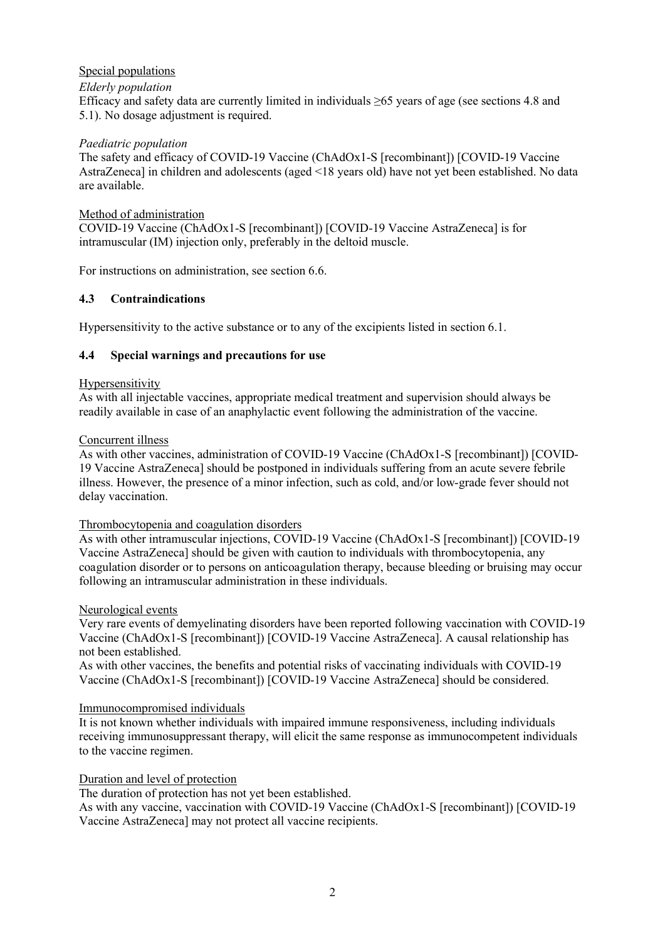## Special populations

#### *Elderly population*

Efficacy and safety data are currently limited in individuals ≥65 years of age (see sections 4.8 and 5.1). No dosage adjustment is required.

#### *Paediatric population*

The safety and efficacy of COVID-19 Vaccine (ChAdOx1-S [recombinant]) [COVID-19 Vaccine AstraZeneca] in children and adolescents (aged <18 years old) have not yet been established. No data are available.

#### Method of administration

COVID-19 Vaccine (ChAdOx1-S [recombinant]) [COVID-19 Vaccine AstraZeneca] is for intramuscular (IM) injection only, preferably in the deltoid muscle.

For instructions on administration, see section 6.6.

## **4.3 Contraindications**

Hypersensitivity to the active substance or to any of the excipients listed in section 6.1.

#### **4.4 Special warnings and precautions for use**

#### **Hypersensitivity**

As with all injectable vaccines, appropriate medical treatment and supervision should always be readily available in case of an anaphylactic event following the administration of the vaccine.

#### Concurrent illness

As with other vaccines, administration of COVID-19 Vaccine (ChAdOx1-S [recombinant]) [COVID-19 Vaccine AstraZeneca] should be postponed in individuals suffering from an acute severe febrile illness. However, the presence of a minor infection, such as cold, and/or low-grade fever should not delay vaccination.

#### Thrombocytopenia and coagulation disorders

As with other intramuscular injections, COVID-19 Vaccine (ChAdOx1-S [recombinant]) [COVID-19 Vaccine AstraZeneca] should be given with caution to individuals with thrombocytopenia, any coagulation disorder or to persons on anticoagulation therapy, because bleeding or bruising may occur following an intramuscular administration in these individuals.

#### Neurological events

Very rare events of demyelinating disorders have been reported following vaccination with COVID-19 Vaccine (ChAdOx1-S [recombinant]) [COVID-19 Vaccine AstraZeneca]. A causal relationship has not been established.

As with other vaccines, the benefits and potential risks of vaccinating individuals with COVID-19 Vaccine (ChAdOx1-S [recombinant]) [COVID-19 Vaccine AstraZeneca] should be considered.

#### Immunocompromised individuals

It is not known whether individuals with impaired immune responsiveness, including individuals receiving immunosuppressant therapy, will elicit the same response as immunocompetent individuals to the vaccine regimen.

#### Duration and level of protection

The duration of protection has not yet been established.

As with any vaccine, vaccination with COVID-19 Vaccine (ChAdOx1-S [recombinant]) [COVID-19 Vaccine AstraZeneca] may not protect all vaccine recipients.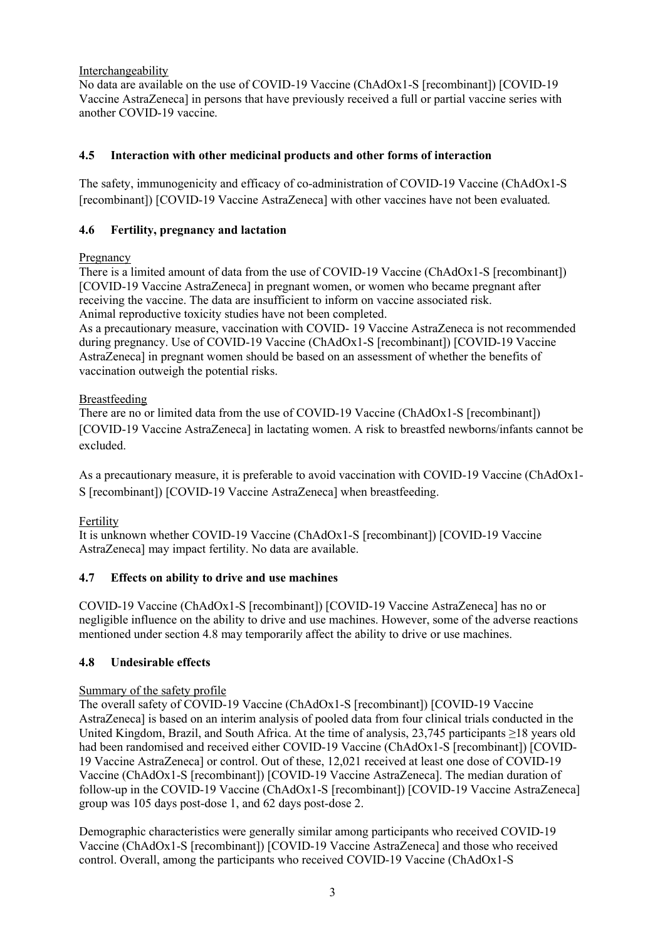## Interchangeability

No data are available on the use of COVID-19 Vaccine (ChAdOx1-S [recombinant]) [COVID-19 Vaccine AstraZeneca] in persons that have previously received a full or partial vaccine series with another COVID-19 vaccine.

# **4.5 Interaction with other medicinal products and other forms of interaction**

The safety, immunogenicity and efficacy of co-administration of COVID-19 Vaccine (ChAdOx1-S [recombinant]) [COVID-19 Vaccine AstraZeneca] with other vaccines have not been evaluated.

## **4.6 Fertility, pregnancy and lactation**

# Pregnancy

There is a limited amount of data from the use of COVID-19 Vaccine (ChAdOx1-S [recombinant]) [COVID-19 Vaccine AstraZeneca] in pregnant women, or women who became pregnant after receiving the vaccine. The data are insufficient to inform on vaccine associated risk. Animal reproductive toxicity studies have not been completed.

As a precautionary measure, vaccination with COVID- 19 Vaccine AstraZeneca is not recommended during pregnancy. Use of COVID-19 Vaccine (ChAdOx1-S [recombinant]) [COVID-19 Vaccine AstraZeneca] in pregnant women should be based on an assessment of whether the benefits of vaccination outweigh the potential risks.

# Breastfeeding

There are no or limited data from the use of COVID-19 Vaccine (ChAdOx1-S [recombinant]) [COVID-19 Vaccine AstraZeneca] in lactating women. A risk to breastfed newborns/infants cannot be excluded.

As a precautionary measure, it is preferable to avoid vaccination with COVID-19 Vaccine (ChAdOx1- S [recombinant]) [COVID-19 Vaccine AstraZeneca] when breastfeeding.

# Fertility

It is unknown whether COVID-19 Vaccine (ChAdOx1-S [recombinant]) [COVID-19 Vaccine AstraZeneca] may impact fertility. No data are available.

# **4.7 Effects on ability to drive and use machines**

COVID-19 Vaccine (ChAdOx1-S [recombinant]) [COVID-19 Vaccine AstraZeneca] has no or negligible influence on the ability to drive and use machines. However, some of the adverse reactions mentioned under section 4.8 may temporarily affect the ability to drive or use machines.

## **4.8 Undesirable effects**

## Summary of the safety profile

The overall safety of COVID-19 Vaccine (ChAdOx1-S [recombinant]) [COVID-19 Vaccine AstraZeneca] is based on an interim analysis of pooled data from four clinical trials conducted in the United Kingdom, Brazil, and South Africa. At the time of analysis, 23,745 participants ≥18 years old had been randomised and received either COVID-19 Vaccine (ChAdOx1-S [recombinant]) [COVID-19 Vaccine AstraZeneca] or control. Out of these, 12,021 received at least one dose of COVID-19 Vaccine (ChAdOx1-S [recombinant]) [COVID-19 Vaccine AstraZeneca]. The median duration of follow-up in the COVID-19 Vaccine (ChAdOx1-S [recombinant]) [COVID-19 Vaccine AstraZeneca] group was 105 days post-dose 1, and 62 days post-dose 2.

Demographic characteristics were generally similar among participants who received COVID-19 Vaccine (ChAdOx1-S [recombinant]) [COVID-19 Vaccine AstraZeneca] and those who received control. Overall, among the participants who received COVID-19 Vaccine (ChAdOx1-S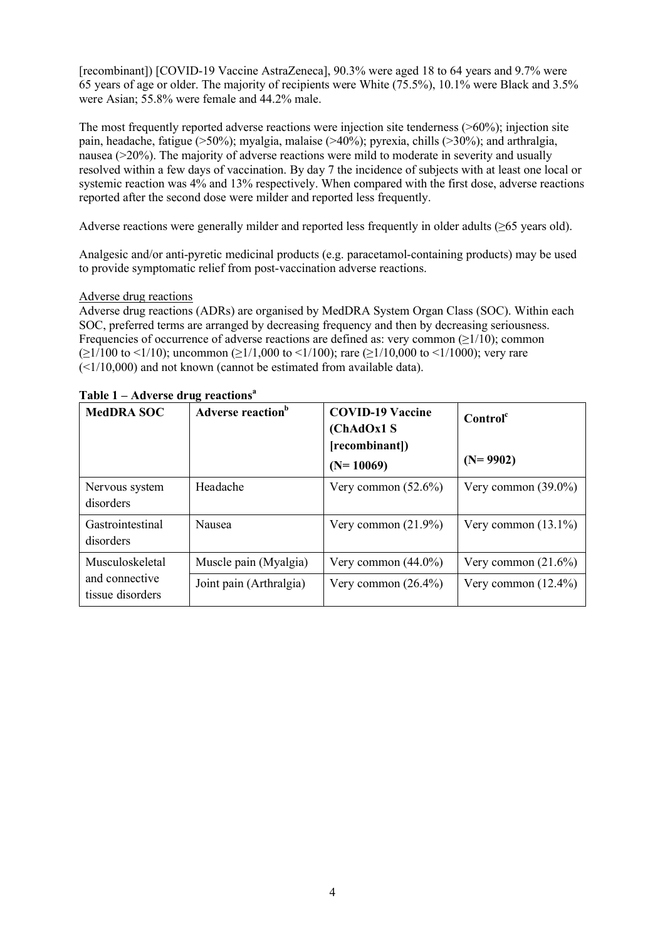[recombinant]) [COVID-19 Vaccine AstraZeneca], 90.3% were aged 18 to 64 years and 9.7% were 65 years of age or older. The majority of recipients were White (75.5%), 10.1% were Black and 3.5% were Asian; 55.8% were female and 44.2% male.

The most frequently reported adverse reactions were injection site tenderness ( $>60\%$ ); injection site pain, headache, fatigue (>50%); myalgia, malaise (>40%); pyrexia, chills (>30%); and arthralgia, nausea (>20%). The majority of adverse reactions were mild to moderate in severity and usually resolved within a few days of vaccination. By day 7 the incidence of subjects with at least one local or systemic reaction was 4% and 13% respectively. When compared with the first dose, adverse reactions reported after the second dose were milder and reported less frequently.

Adverse reactions were generally milder and reported less frequently in older adults (≥65 years old).

Analgesic and/or anti-pyretic medicinal products (e.g. paracetamol-containing products) may be used to provide symptomatic relief from post-vaccination adverse reactions.

#### Adverse drug reactions

Adverse drug reactions (ADRs) are organised by MedDRA System Organ Class (SOC). Within each SOC, preferred terms are arranged by decreasing frequency and then by decreasing seriousness. Frequencies of occurrence of adverse reactions are defined as: very common  $(\geq 1/10)$ ; common  $(\geq 1/100 \text{ to } \leq 1/10)$ ; uncommon  $(\geq 1/1,000 \text{ to } \leq 1/100)$ ; rare  $(\geq 1/10,000 \text{ to } \leq 1/1000)$ ; very rare  $(\leq 1/10,000)$  and not known (cannot be estimated from available data).

| <b>MedDRA SOC</b>                                     | Adverse reaction <sup>b</sup> | <b>COVID-19 Vaccine</b><br>(ChAdOx1 S<br>[recombinant])<br>$(N=10069)$ | Control <sup>c</sup><br>$(N=9902)$ |
|-------------------------------------------------------|-------------------------------|------------------------------------------------------------------------|------------------------------------|
| Nervous system<br>disorders                           | Headache                      | Very common $(52.6\%)$                                                 | Very common $(39.0\%)$             |
| Gastrointestinal<br>disorders                         | Nausea                        | Very common $(21.9\%)$                                                 | Very common $(13.1\%)$             |
| Musculoskeletal<br>and connective<br>tissue disorders | Muscle pain (Myalgia)         | Very common $(44.0\%)$                                                 | Very common $(21.6\%)$             |
|                                                       | Joint pain (Arthralgia)       | Very common $(26.4\%)$                                                 | Very common $(12.4\%)$             |

**Table 1 – Adverse drug reactions<sup>a</sup>**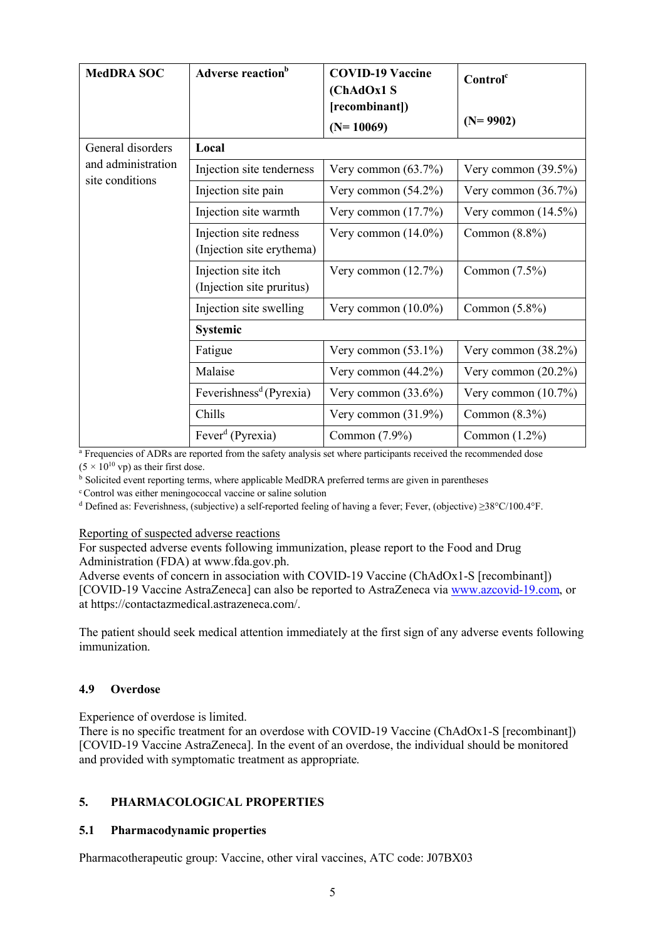| <b>MedDRA SOC</b>                     | Adverse reaction <sup>b</sup>       | <b>COVID-19 Vaccine</b><br>(ChAdOx1 S | Control <sup>c</sup>   |  |
|---------------------------------------|-------------------------------------|---------------------------------------|------------------------|--|
|                                       |                                     | [recombinant])                        | $(N=9902)$             |  |
|                                       |                                     | $(N=10069)$                           |                        |  |
| General disorders                     | Local                               |                                       |                        |  |
| and administration<br>site conditions | Injection site tenderness           | Very common $(63.7\%)$                | Very common $(39.5\%)$ |  |
|                                       | Injection site pain                 | Very common $(54.2\%)$                | Very common $(36.7\%)$ |  |
|                                       | Injection site warmth               | Very common $(17.7%)$                 | Very common $(14.5\%)$ |  |
|                                       | Injection site redness              | Very common $(14.0\%)$                | Common $(8.8\%)$       |  |
|                                       | (Injection site erythema)           |                                       |                        |  |
|                                       | Injection site itch                 | Very common $(12.7%)$                 | Common $(7.5\%)$       |  |
|                                       | (Injection site pruritus)           |                                       |                        |  |
|                                       | Injection site swelling             | Very common $(10.0\%)$                | Common $(5.8\%)$       |  |
|                                       | <b>Systemic</b>                     |                                       |                        |  |
|                                       | Fatigue                             | Very common $(53.1\%)$                | Very common $(38.2\%)$ |  |
|                                       | Malaise                             | Very common $(44.2\%)$                | Very common $(20.2\%)$ |  |
|                                       | Feverishness <sup>d</sup> (Pyrexia) | Very common $(33.6\%)$                | Very common $(10.7\%)$ |  |
|                                       | Chills                              | Very common $(31.9\%)$                | Common $(8.3\%)$       |  |
|                                       | Fever <sup>d</sup> (Pyrexia)        | Common (7.9%)                         | Common $(1.2\%)$       |  |

<sup>a</sup> Frequencies of ADRs are reported from the safety analysis set where participants received the recommended dose  $(5 \times 10^{10} \text{ vp})$  as their first dose.

<sup>b</sup> Solicited event reporting terms, where applicable MedDRA preferred terms are given in parentheses

<sup>c</sup> Control was either meningococcal vaccine or saline solution

<sup>d</sup> Defined as: Feverishness, (subjective) a self-reported feeling of having a fever; Fever, (objective) ≥38°C/100.4°F.

#### Reporting of suspected adverse reactions

For suspected adverse events following immunization, please report to the Food and Drug Administration (FDA) at www.fda.gov.ph.

Adverse events of concern in association with COVID-19 Vaccine (ChAdOx1-S [recombinant]) [COVID-19 Vaccine AstraZeneca] can also be reported to AstraZeneca via [www.azcovid-19.com,](http://www.azcovid-19.com/) or at https://contactazmedical.astrazeneca.com/.

The patient should seek medical attention immediately at the first sign of any adverse events following immunization.

#### **4.9 Overdose**

Experience of overdose is limited.

There is no specific treatment for an overdose with COVID-19 Vaccine (ChAdOx1-S [recombinant]) [COVID-19 Vaccine AstraZeneca]. In the event of an overdose, the individual should be monitored and provided with symptomatic treatment as appropriate.

## **5. PHARMACOLOGICAL PROPERTIES**

## **5.1 Pharmacodynamic properties**

Pharmacotherapeutic group: Vaccine, other viral vaccines, ATC code: J07BX03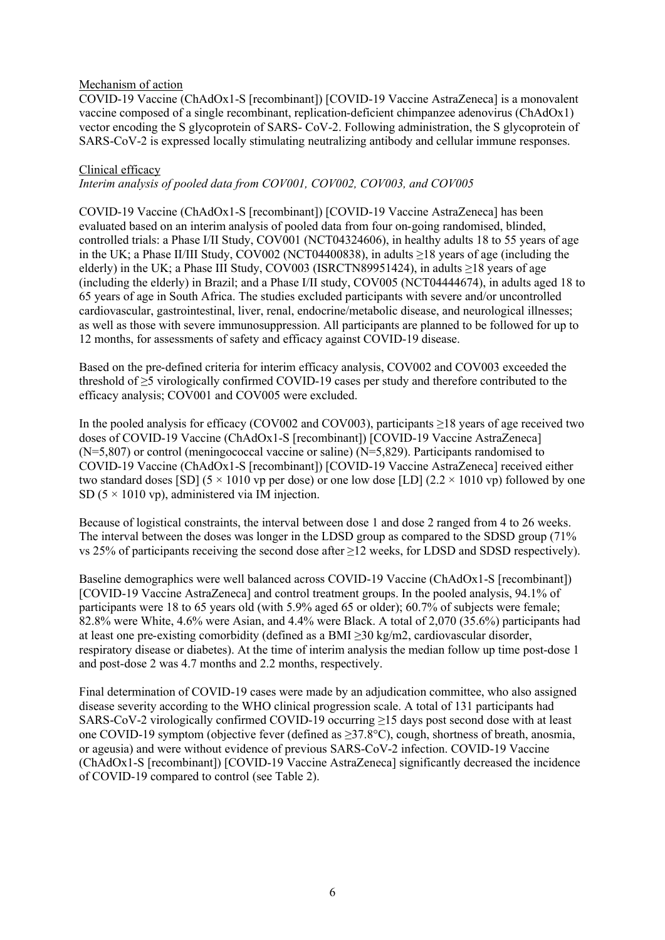#### Mechanism of action

COVID-19 Vaccine (ChAdOx1-S [recombinant]) [COVID-19 Vaccine AstraZeneca] is a monovalent vaccine composed of a single recombinant, replication-deficient chimpanzee adenovirus (ChAdOx1) vector encoding the S glycoprotein of SARS- CoV-2. Following administration, the S glycoprotein of SARS-CoV-2 is expressed locally stimulating neutralizing antibody and cellular immune responses.

#### Clinical efficacy

*Interim analysis of pooled data from COV001, COV002, COV003, and COV005*

COVID-19 Vaccine (ChAdOx1-S [recombinant]) [COVID-19 Vaccine AstraZeneca] has been evaluated based on an interim analysis of pooled data from four on-going randomised, blinded, controlled trials: a Phase I/II Study, COV001 (NCT04324606), in healthy adults 18 to 55 years of age in the UK; a Phase II/III Study, COV002 (NCT04400838), in adults ≥18 years of age (including the elderly) in the UK; a Phase III Study, COV003 (ISRCTN89951424), in adults  $\geq$ 18 years of age (including the elderly) in Brazil; and a Phase I/II study, COV005 (NCT04444674), in adults aged 18 to 65 years of age in South Africa. The studies excluded participants with severe and/or uncontrolled cardiovascular, gastrointestinal, liver, renal, endocrine/metabolic disease, and neurological illnesses; as well as those with severe immunosuppression. All participants are planned to be followed for up to 12 months, for assessments of safety and efficacy against COVID-19 disease.

Based on the pre-defined criteria for interim efficacy analysis, COV002 and COV003 exceeded the threshold of ≥5 virologically confirmed COVID-19 cases per study and therefore contributed to the efficacy analysis; COV001 and COV005 were excluded.

In the pooled analysis for efficacy (COV002 and COV003), participants ≥18 years of age received two doses of COVID-19 Vaccine (ChAdOx1-S [recombinant]) [COVID-19 Vaccine AstraZeneca]  $(N=5,807)$  or control (meningococcal vaccine or saline)  $(N=5,829)$ . Participants randomised to COVID-19 Vaccine (ChAdOx1-S [recombinant]) [COVID-19 Vaccine AstraZeneca] received either two standard doses [SD] (5  $\times$  1010 vp per dose) or one low dose [LD] (2.2  $\times$  1010 vp) followed by one SD ( $5 \times 1010$  vp), administered via IM injection.

Because of logistical constraints, the interval between dose 1 and dose 2 ranged from 4 to 26 weeks. The interval between the doses was longer in the LDSD group as compared to the SDSD group (71% vs 25% of participants receiving the second dose after ≥12 weeks, for LDSD and SDSD respectively).

Baseline demographics were well balanced across COVID-19 Vaccine (ChAdOx1-S [recombinant]) [COVID-19 Vaccine AstraZeneca] and control treatment groups. In the pooled analysis, 94.1% of participants were 18 to 65 years old (with 5.9% aged 65 or older); 60.7% of subjects were female; 82.8% were White, 4.6% were Asian, and 4.4% were Black. A total of 2,070 (35.6%) participants had at least one pre-existing comorbidity (defined as a BMI ≥30 kg/m2, cardiovascular disorder, respiratory disease or diabetes). At the time of interim analysis the median follow up time post-dose 1 and post-dose 2 was 4.7 months and 2.2 months, respectively.

Final determination of COVID-19 cases were made by an adjudication committee, who also assigned disease severity according to the WHO clinical progression scale. A total of 131 participants had SARS-CoV-2 virologically confirmed COVID-19 occurring ≥15 days post second dose with at least one COVID-19 symptom (objective fever (defined as ≥37.8°C), cough, shortness of breath, anosmia, or ageusia) and were without evidence of previous SARS-CoV-2 infection. COVID-19 Vaccine (ChAdOx1-S [recombinant]) [COVID-19 Vaccine AstraZeneca] significantly decreased the incidence of COVID-19 compared to control (see Table 2).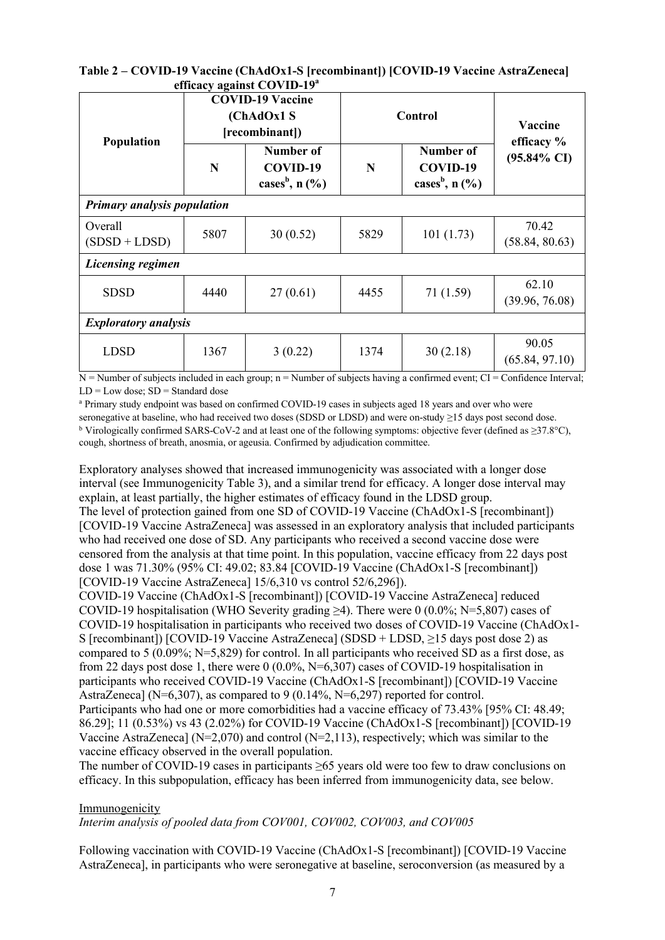|                              | Table 2 – COVID-19 Vaccine (ChAdOx1-S [recombinant]) [COVID-19 Vaccine AstraZeneca] |
|------------------------------|-------------------------------------------------------------------------------------|
| efficacy against $COVID-19a$ |                                                                                     |

|                                    | <b>COVID-19 Vaccine</b><br>(ChAdOx1 S<br>[recombinant]) |                                                       | Control |                                                       | <b>Vaccine</b><br>efficacy % |
|------------------------------------|---------------------------------------------------------|-------------------------------------------------------|---------|-------------------------------------------------------|------------------------------|
| <b>Population</b>                  | N                                                       | Number of<br>COVID-19<br>cases <sup>b</sup> , $n$ (%) | N       | Number of<br>COVID-19<br>cases <sup>b</sup> , $n$ (%) | $(95.84\% \text{ CI})$       |
| <b>Primary analysis population</b> |                                                         |                                                       |         |                                                       |                              |
| Overall<br>$(SDSD + LDSD)$         | 5807                                                    | 30(0.52)                                              | 5829    | 101(1.73)                                             | 70.42<br>(58.84, 80.63)      |
| <b>Licensing regimen</b>           |                                                         |                                                       |         |                                                       |                              |
| <b>SDSD</b>                        | 4440                                                    | 27(0.61)                                              | 4455    | 71 (1.59)                                             | 62.10<br>(39.96, 76.08)      |
| <b>Exploratory analysis</b>        |                                                         |                                                       |         |                                                       |                              |
| <b>LDSD</b>                        | 1367                                                    | 3(0.22)                                               | 1374    | 30(2.18)                                              | 90.05<br>(65.84, 97.10)      |

 $N =$  Number of subjects included in each group;  $n =$  Number of subjects having a confirmed event; CI = Confidence Interval;  $LD = Low dose$ ;  $SD = Standard dose$ 

<sup>a</sup> Primary study endpoint was based on confirmed COVID-19 cases in subjects aged 18 years and over who were seronegative at baseline, who had received two doses (SDSD or LDSD) and were on-study ≥15 days post second dose. <sup>b</sup> Virologically confirmed SARS-CoV-2 and at least one of the following symptoms: objective fever (defined as ≥37.8°C), cough, shortness of breath, anosmia, or ageusia. Confirmed by adjudication committee.

Exploratory analyses showed that increased immunogenicity was associated with a longer dose interval (see Immunogenicity Table 3), and a similar trend for efficacy. A longer dose interval may explain, at least partially, the higher estimates of efficacy found in the LDSD group. The level of protection gained from one SD of COVID-19 Vaccine (ChAdOx1-S [recombinant]) [COVID-19 Vaccine AstraZeneca] was assessed in an exploratory analysis that included participants who had received one dose of SD. Any participants who received a second vaccine dose were censored from the analysis at that time point. In this population, vaccine efficacy from 22 days post dose 1 was 71.30% (95% CI: 49.02; 83.84 [COVID-19 Vaccine (ChAdOx1-S [recombinant]) [COVID-19 Vaccine AstraZeneca] 15/6,310 vs control 52/6,296]).

COVID-19 Vaccine (ChAdOx1-S [recombinant]) [COVID-19 Vaccine AstraZeneca] reduced COVID-19 hospitalisation (WHO Severity grading  $\geq 4$ ). There were 0 (0.0%; N=5,807) cases of COVID-19 hospitalisation in participants who received two doses of COVID-19 Vaccine (ChAdOx1- S [recombinant]) [COVID-19 Vaccine AstraZeneca] (SDSD + LDSD, ≥15 days post dose 2) as compared to 5 (0.09%; N=5,829) for control. In all participants who received SD as a first dose, as from 22 days post dose 1, there were  $0(0.0\%, N=6,307)$  cases of COVID-19 hospitalisation in participants who received COVID-19 Vaccine (ChAdOx1-S [recombinant]) [COVID-19 Vaccine AstraZeneca] (N=6,307), as compared to 9 (0.14%, N=6,297) reported for control. Participants who had one or more comorbidities had a vaccine efficacy of 73.43% [95% CI: 48.49;

86.29]; 11 (0.53%) vs 43 (2.02%) for COVID-19 Vaccine (ChAdOx1-S [recombinant]) [COVID-19 Vaccine AstraZeneca] ( $N=2,070$ ) and control ( $N=2,113$ ), respectively; which was similar to the vaccine efficacy observed in the overall population.

The number of COVID-19 cases in participants ≥65 years old were too few to draw conclusions on efficacy. In this subpopulation, efficacy has been inferred from immunogenicity data, see below.

#### Immunogenicity

*Interim analysis of pooled data from COV001, COV002, COV003, and COV005*

Following vaccination with COVID-19 Vaccine (ChAdOx1-S [recombinant]) [COVID-19 Vaccine AstraZeneca], in participants who were seronegative at baseline, seroconversion (as measured by a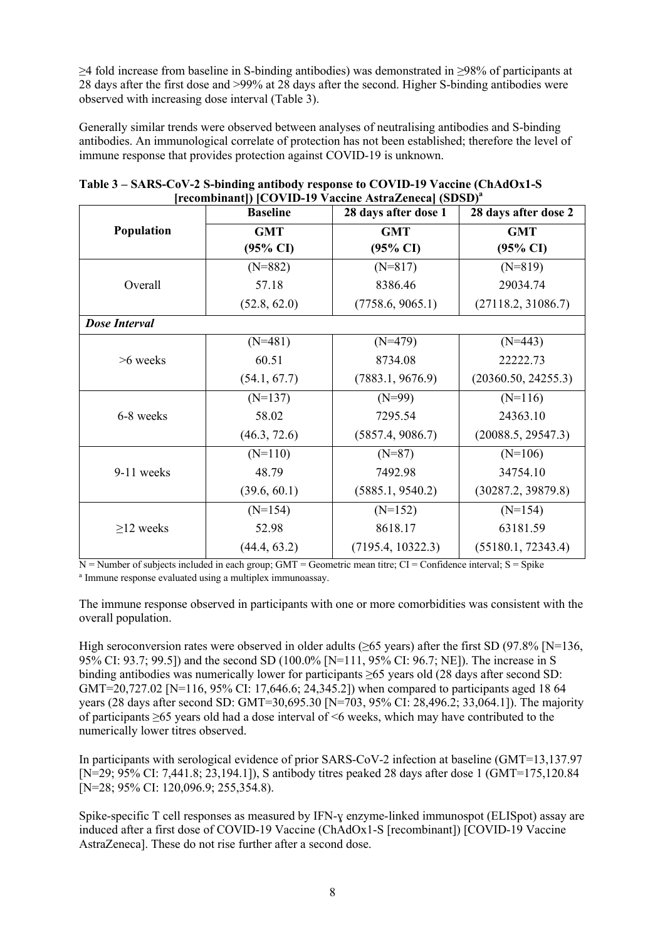≥4 fold increase from baseline in S-binding antibodies) was demonstrated in ≥98% of participants at 28 days after the first dose and >99% at 28 days after the second. Higher S-binding antibodies were observed with increasing dose interval (Table 3).

Generally similar trends were observed between analyses of neutralising antibodies and S-binding antibodies. An immunological correlate of protection has not been established; therefore the level of immune response that provides protection against COVID-19 is unknown.

|                      | $\left[1$ ecombinant $\left[1\right]$ $\left[1$ $\right]$ $\left[1$ $\right]$ $\left[1$ $\right]$ $\left[1$ $\right]$ $\left[1$ $\right]$ $\left[1$ $\right]$ $\left[1$ $\right]$ $\left[1$ $\right]$ $\left[1$ $\right]$ $\left[1$ $\right]$ $\left[1$ $\right]$ $\left[1$ $\right]$ $\left[1$ $\right]$ $\left[1$ $\right]$ $\left[1$ $\right]$<br><b>Baseline</b> | 28 days after dose 1 | 28 days after dose 2 |
|----------------------|----------------------------------------------------------------------------------------------------------------------------------------------------------------------------------------------------------------------------------------------------------------------------------------------------------------------------------------------------------------------|----------------------|----------------------|
| Population           | <b>GMT</b>                                                                                                                                                                                                                                                                                                                                                           | <b>GMT</b>           | <b>GMT</b>           |
|                      | $(95\% \text{ CI})$                                                                                                                                                                                                                                                                                                                                                  | $(95\% \text{ CI})$  | $(95\% \text{ CI})$  |
|                      | $(N=882)$                                                                                                                                                                                                                                                                                                                                                            | $(N=817)$            | $(N=819)$            |
| Overall              | 57.18                                                                                                                                                                                                                                                                                                                                                                | 8386.46              | 29034.74             |
|                      | (52.8, 62.0)                                                                                                                                                                                                                                                                                                                                                         | (7758.6, 9065.1)     | (27118.2, 31086.7)   |
| <b>Dose Interval</b> |                                                                                                                                                                                                                                                                                                                                                                      |                      |                      |
|                      | $(N=481)$                                                                                                                                                                                                                                                                                                                                                            | $(N=479)$            | $(N=443)$            |
| $>6$ weeks           | 60.51                                                                                                                                                                                                                                                                                                                                                                | 8734.08              | 22222.73             |
|                      | (54.1, 67.7)                                                                                                                                                                                                                                                                                                                                                         | (7883.1, 9676.9)     | (20360.50, 24255.3)  |
|                      | $(N=137)$                                                                                                                                                                                                                                                                                                                                                            | $(N=99)$             | $(N=116)$            |
| 6-8 weeks            | 58.02                                                                                                                                                                                                                                                                                                                                                                | 7295.54              | 24363.10             |
|                      | (46.3, 72.6)                                                                                                                                                                                                                                                                                                                                                         | (5857.4, 9086.7)     | (20088.5, 29547.3)   |
|                      | $(N=110)$                                                                                                                                                                                                                                                                                                                                                            | $(N=87)$             | $(N=106)$            |
| 9-11 weeks           | 48.79                                                                                                                                                                                                                                                                                                                                                                | 7492.98              | 34754.10             |
|                      | (39.6, 60.1)                                                                                                                                                                                                                                                                                                                                                         | (5885.1, 9540.2)     | (30287.2, 39879.8)   |
|                      | $(N=154)$                                                                                                                                                                                                                                                                                                                                                            | $(N=152)$            | $(N=154)$            |
| $\geq$ 12 weeks      | 52.98                                                                                                                                                                                                                                                                                                                                                                | 8618.17              | 63181.59             |
|                      | (44.4, 63.2)                                                                                                                                                                                                                                                                                                                                                         | (7195.4, 10322.3)    | (55180.1, 72343.4)   |

| Table 3 – SARS-CoV-2 S-binding antibody response to COVID-19 Vaccine (ChAdOx1-S) |
|----------------------------------------------------------------------------------|
| [recombinant]) [COVID-19 Vaccine AstraZeneca] (SDSD) <sup>a</sup>                |

 $N =$  Number of subjects included in each group; GMT = Geometric mean titre; CI = Confidence interval; S = Spike a Immune response evaluated using a multiplex immunoassay.

The immune response observed in participants with one or more comorbidities was consistent with the overall population.

High seroconversion rates were observed in older adults ( $\geq 65$  years) after the first SD (97.8% [N=136, 95% CI: 93.7; 99.5]) and the second SD (100.0% [N=111, 95% CI: 96.7; NE]). The increase in S binding antibodies was numerically lower for participants ≥65 years old (28 days after second SD: GMT=20,727.02 [N=116, 95% CI: 17,646.6; 24,345.2]) when compared to participants aged 18 64 years (28 days after second SD: GMT=30,695.30 [N=703, 95% CI: 28,496.2; 33,064.1]). The majority of participants ≥65 years old had a dose interval of <6 weeks, which may have contributed to the numerically lower titres observed.

In participants with serological evidence of prior SARS-CoV-2 infection at baseline (GMT=13,137.97 [N=29; 95% CI: 7,441.8; 23,194.1]), S antibody titres peaked 28 days after dose 1 (GMT=175,120.84 [N=28; 95% CI: 120,096.9; 255,354.8).

Spike-specific T cell responses as measured by IFN-ɣ enzyme-linked immunospot (ELISpot) assay are induced after a first dose of COVID-19 Vaccine (ChAdOx1-S [recombinant]) [COVID-19 Vaccine AstraZeneca]. These do not rise further after a second dose.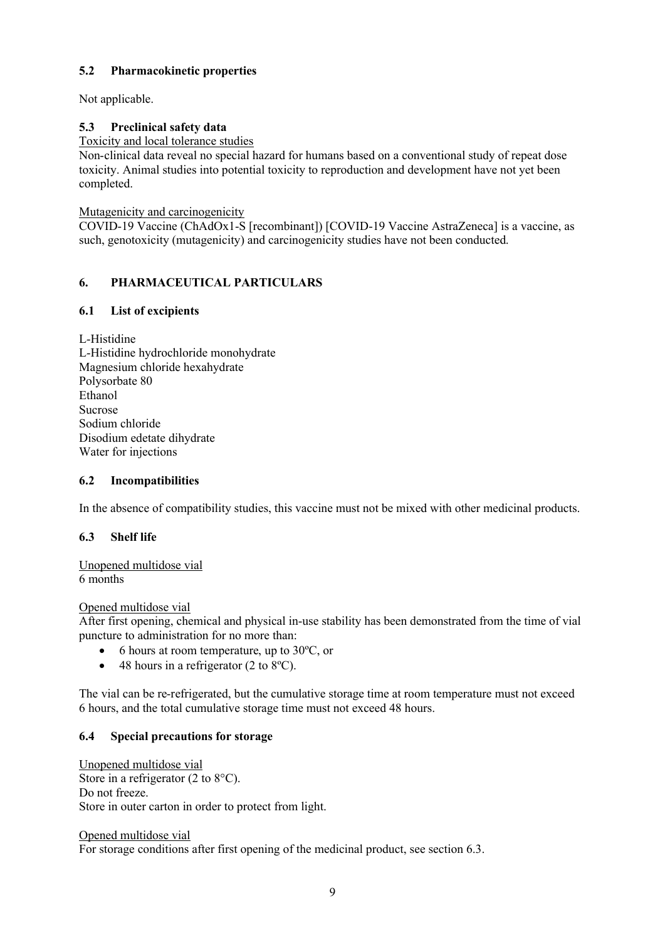# **5.2 Pharmacokinetic properties**

Not applicable.

# **5.3 Preclinical safety data**

Toxicity and local tolerance studies

Non-clinical data reveal no special hazard for humans based on a conventional study of repeat dose toxicity. Animal studies into potential toxicity to reproduction and development have not yet been completed.

Mutagenicity and carcinogenicity

COVID-19 Vaccine (ChAdOx1-S [recombinant]) [COVID-19 Vaccine AstraZeneca] is a vaccine, as such, genotoxicity (mutagenicity) and carcinogenicity studies have not been conducted.

# **6. PHARMACEUTICAL PARTICULARS**

## **6.1 List of excipients**

L-Histidine L-Histidine hydrochloride monohydrate Magnesium chloride hexahydrate Polysorbate 80 Ethanol Sucrose Sodium chloride Disodium edetate dihydrate Water for injections

## **6.2 Incompatibilities**

In the absence of compatibility studies, this vaccine must not be mixed with other medicinal products.

# **6.3 Shelf life**

Unopened multidose vial 6 months

Opened multidose vial

After first opening, chemical and physical in-use stability has been demonstrated from the time of vial puncture to administration for no more than:

- $\bullet$  6 hours at room temperature, up to 30 $\degree$ C, or
- $\bullet$  48 hours in a refrigerator (2 to 8°C).

The vial can be re-refrigerated, but the cumulative storage time at room temperature must not exceed 6 hours, and the total cumulative storage time must not exceed 48 hours.

## **6.4 Special precautions for storage**

Unopened multidose vial Store in a refrigerator (2 to 8<sup>o</sup>C). Do not freeze. Store in outer carton in order to protect from light.

Opened multidose vial

For storage conditions after first opening of the medicinal product, see section 6.3.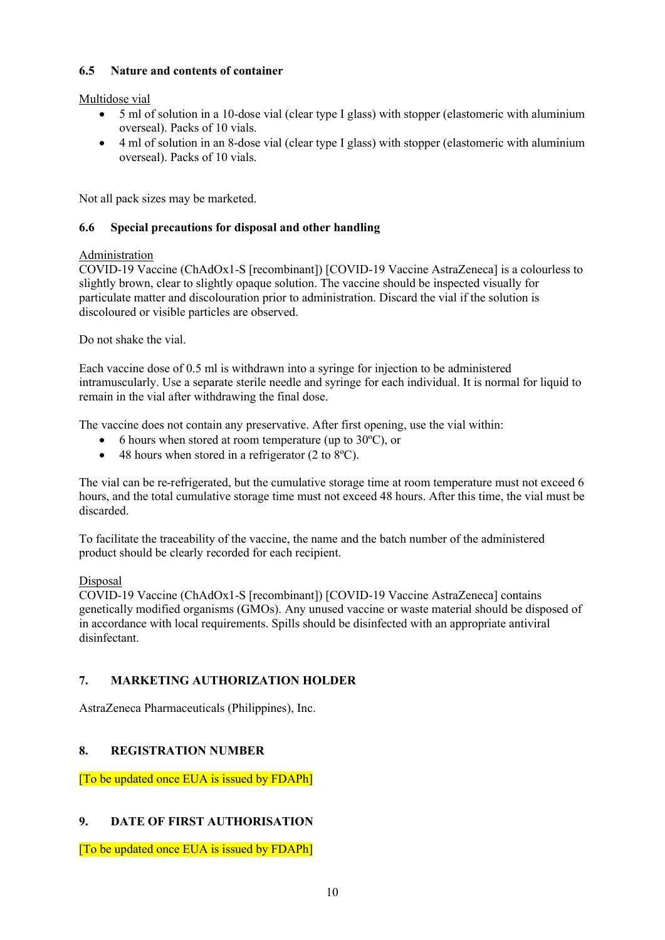## **6.5 Nature and contents of container**

Multidose vial

- 5 ml of solution in a 10-dose vial (clear type I glass) with stopper (elastomeric with aluminium overseal). Packs of 10 vials.
- 4 ml of solution in an 8-dose vial (clear type I glass) with stopper (elastomeric with aluminium overseal). Packs of 10 vials.

Not all pack sizes may be marketed.

## **6.6 Special precautions for disposal and other handling**

## Administration

COVID-19 Vaccine (ChAdOx1-S [recombinant]) [COVID-19 Vaccine AstraZeneca] is a colourless to slightly brown, clear to slightly opaque solution. The vaccine should be inspected visually for particulate matter and discolouration prior to administration. Discard the vial if the solution is discoloured or visible particles are observed.

Do not shake the vial.

Each vaccine dose of 0.5 ml is withdrawn into a syringe for injection to be administered intramuscularly. Use a separate sterile needle and syringe for each individual. It is normal for liquid to remain in the vial after withdrawing the final dose.

The vaccine does not contain any preservative. After first opening, use the vial within:

- 6 hours when stored at room temperature (up to 30ºC), or
- $\bullet$  48 hours when stored in a refrigerator (2 to 8 $^{\circ}$ C).

The vial can be re-refrigerated, but the cumulative storage time at room temperature must not exceed 6 hours, and the total cumulative storage time must not exceed 48 hours. After this time, the vial must be discarded.

To facilitate the traceability of the vaccine, the name and the batch number of the administered product should be clearly recorded for each recipient.

## Disposal

COVID-19 Vaccine (ChAdOx1-S [recombinant]) [COVID-19 Vaccine AstraZeneca] contains genetically modified organisms (GMOs). Any unused vaccine or waste material should be disposed of in accordance with local requirements. Spills should be disinfected with an appropriate antiviral disinfectant.

# **7. MARKETING AUTHORIZATION HOLDER**

AstraZeneca Pharmaceuticals (Philippines), Inc.

# **8. REGISTRATION NUMBER**

[To be updated once EUA is issued by FDAPh]

# **9. DATE OF FIRST AUTHORISATION**

[To be updated once EUA is issued by FDAPh]